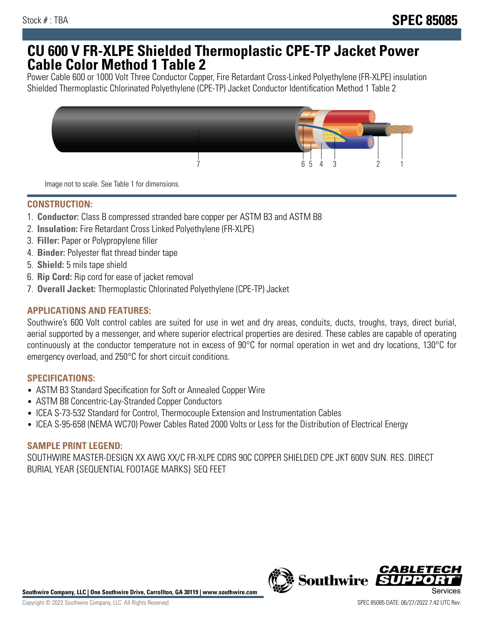## **CU 600 V FR-XLPE Shielded Thermoplastic CPE-TP Jacket Power Cable Color Method 1 Table 2**

Power Cable 600 or 1000 Volt Three Conductor Copper, Fire Retardant Cross-Linked Polyethylene (FR-XLPE) insulation Shielded Thermoplastic Chlorinated Polyethylene (CPE-TP) Jacket Conductor Identification Method 1 Table 2



Image not to scale. See Table 1 for dimensions.

## **CONSTRUCTION:**

- 1. **Conductor:** Class B compressed stranded bare copper per ASTM B3 and ASTM B8
- 2. **Insulation:** Fire Retardant Cross Linked Polyethylene (FR-XLPE)
- 3. **Filler:** Paper or Polypropylene filler
- 4. **Binder:** Polyester flat thread binder tape
- 5. **Shield:** 5 mils tape shield
- 6. **Rip Cord:** Rip cord for ease of jacket removal
- 7. **Overall Jacket:** Thermoplastic Chlorinated Polyethylene (CPE-TP) Jacket

### **APPLICATIONS AND FEATURES:**

Southwire's 600 Volt control cables are suited for use in wet and dry areas, conduits, ducts, troughs, trays, direct burial, aerial supported by a messenger, and where superior electrical properties are desired. These cables are capable of operating continuously at the conductor temperature not in excess of 90°C for normal operation in wet and dry locations, 130°C for emergency overload, and 250°C for short circuit conditions.

#### **SPECIFICATIONS:**

- ASTM B3 Standard Specification for Soft or Annealed Copper Wire
- ASTM B8 Concentric-Lay-Stranded Copper Conductors
- ICEA S-73-532 Standard for Control, Thermocouple Extension and Instrumentation Cables
- ICEA S-95-658 (NEMA WC70) Power Cables Rated 2000 Volts or Less for the Distribution of Electrical Energy

#### **SAMPLE PRINT LEGEND:**

SOUTHWIRE MASTER-DESIGN XX AWG XX/C FR-XLPE CDRS 90C COPPER SHIELDED CPE JKT 600V SUN. RES. DIRECT BURIAL YEAR {SEQUENTIAL FOOTAGE MARKS} SEQ FEET